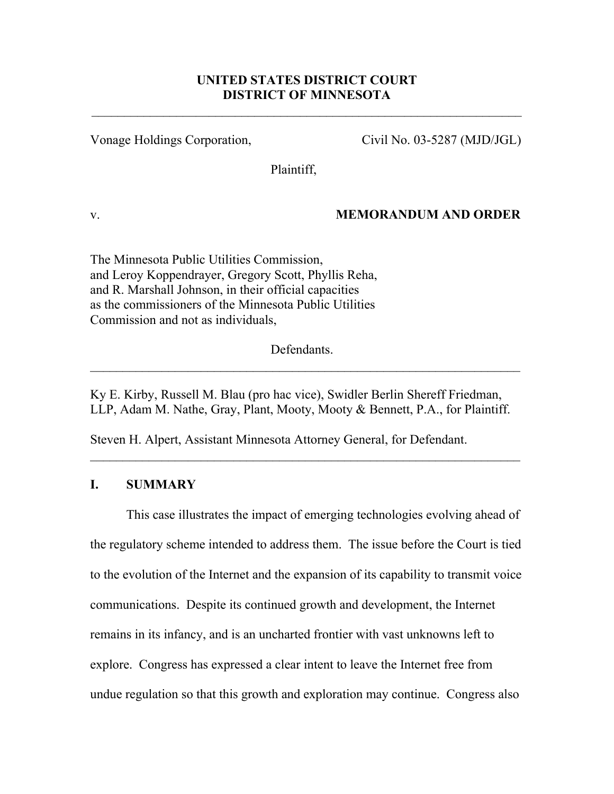# **UNITED STATES DISTRICT COURT DISTRICT OF MINNESOTA**

Vonage Holdings Corporation, Civil No. 03-5287 (MJD/JGL)

Plaintiff,

## v. **MEMORANDUM AND ORDER**

The Minnesota Public Utilities Commission, and Leroy Koppendrayer, Gregory Scott, Phyllis Reha, and R. Marshall Johnson, in their official capacities as the commissioners of the Minnesota Public Utilities Commission and not as individuals,

Defendants.

Ky E. Kirby, Russell M. Blau (pro hac vice), Swidler Berlin Shereff Friedman, LLP, Adam M. Nathe, Gray, Plant, Mooty, Mooty & Bennett, P.A., for Plaintiff.

 $\mathcal{L}_\mathcal{L} = \mathcal{L}_\mathcal{L} = \mathcal{L}_\mathcal{L} = \mathcal{L}_\mathcal{L} = \mathcal{L}_\mathcal{L} = \mathcal{L}_\mathcal{L} = \mathcal{L}_\mathcal{L} = \mathcal{L}_\mathcal{L} = \mathcal{L}_\mathcal{L} = \mathcal{L}_\mathcal{L} = \mathcal{L}_\mathcal{L} = \mathcal{L}_\mathcal{L} = \mathcal{L}_\mathcal{L} = \mathcal{L}_\mathcal{L} = \mathcal{L}_\mathcal{L} = \mathcal{L}_\mathcal{L} = \mathcal{L}_\mathcal{L}$ 

Steven H. Alpert, Assistant Minnesota Attorney General, for Defendant.

## **I. SUMMARY**

This case illustrates the impact of emerging technologies evolving ahead of the regulatory scheme intended to address them. The issue before the Court is tied to the evolution of the Internet and the expansion of its capability to transmit voice communications. Despite its continued growth and development, the Internet remains in its infancy, and is an uncharted frontier with vast unknowns left to explore. Congress has expressed a clear intent to leave the Internet free from undue regulation so that this growth and exploration may continue. Congress also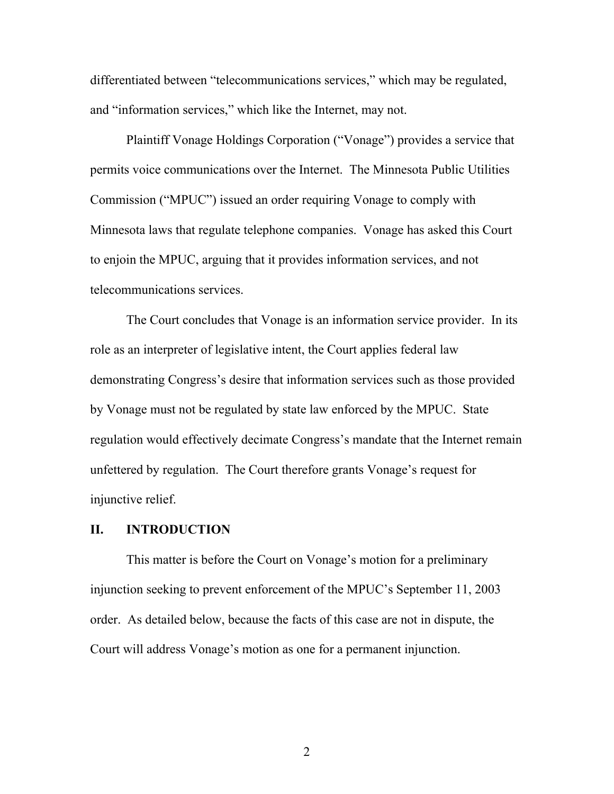differentiated between "telecommunications services," which may be regulated, and "information services," which like the Internet, may not.

Plaintiff Vonage Holdings Corporation ("Vonage") provides a service that permits voice communications over the Internet. The Minnesota Public Utilities Commission ("MPUC") issued an order requiring Vonage to comply with Minnesota laws that regulate telephone companies. Vonage has asked this Court to enjoin the MPUC, arguing that it provides information services, and not telecommunications services.

The Court concludes that Vonage is an information service provider. In its role as an interpreter of legislative intent, the Court applies federal law demonstrating Congress's desire that information services such as those provided by Vonage must not be regulated by state law enforced by the MPUC. State regulation would effectively decimate Congress's mandate that the Internet remain unfettered by regulation. The Court therefore grants Vonage's request for injunctive relief.

## **II. INTRODUCTION**

 This matter is before the Court on Vonage's motion for a preliminary injunction seeking to prevent enforcement of the MPUC's September 11, 2003 order. As detailed below, because the facts of this case are not in dispute, the Court will address Vonage's motion as one for a permanent injunction.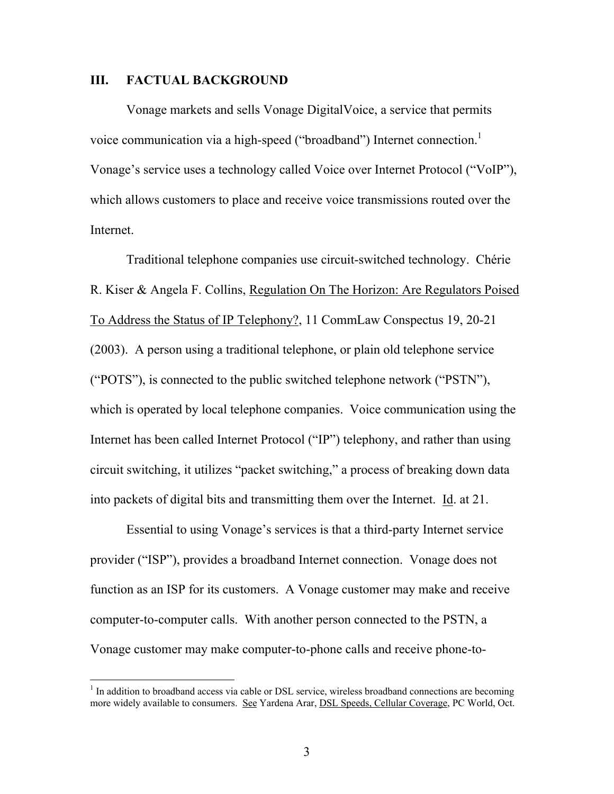#### **III. FACTUAL BACKGROUND**

Vonage markets and sells Vonage DigitalVoice, a service that permits voice communication via a high-speed ("broadband") Internet connection.<sup>1</sup> Vonage's service uses a technology called Voice over Internet Protocol ("VoIP"), which allows customers to place and receive voice transmissions routed over the Internet.

Traditional telephone companies use circuit-switched technology. Chérie R. Kiser & Angela F. Collins, Regulation On The Horizon: Are Regulators Poised To Address the Status of IP Telephony?, 11 CommLaw Conspectus 19, 20-21 (2003). A person using a traditional telephone, or plain old telephone service ("POTS"), is connected to the public switched telephone network ("PSTN"), which is operated by local telephone companies. Voice communication using the Internet has been called Internet Protocol ("IP") telephony, and rather than using circuit switching, it utilizes "packet switching," a process of breaking down data into packets of digital bits and transmitting them over the Internet. Id. at 21.

Essential to using Vonage's services is that a third-party Internet service provider ("ISP"), provides a broadband Internet connection. Vonage does not function as an ISP for its customers. A Vonage customer may make and receive computer-to-computer calls. With another person connected to the PSTN, a Vonage customer may make computer-to-phone calls and receive phone-to-

 $\overline{a}$ 

<sup>&</sup>lt;sup>1</sup> In addition to broadband access via cable or DSL service, wireless broadband connections are becoming more widely available to consumers. See Yardena Arar, DSL Speeds, Cellular Coverage, PC World, Oct.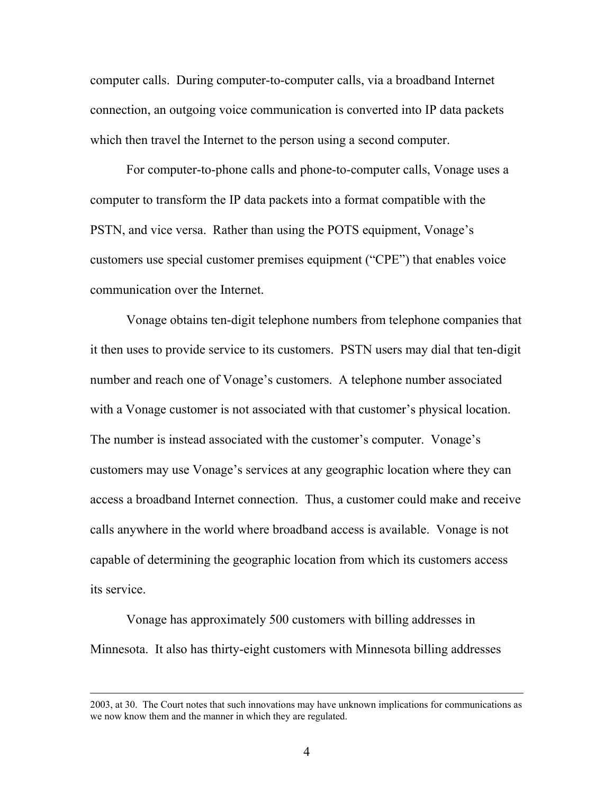computer calls. During computer-to-computer calls, via a broadband Internet connection, an outgoing voice communication is converted into IP data packets which then travel the Internet to the person using a second computer.

For computer-to-phone calls and phone-to-computer calls, Vonage uses a computer to transform the IP data packets into a format compatible with the PSTN, and vice versa. Rather than using the POTS equipment, Vonage's customers use special customer premises equipment ("CPE") that enables voice communication over the Internet.

Vonage obtains ten-digit telephone numbers from telephone companies that it then uses to provide service to its customers. PSTN users may dial that ten-digit number and reach one of Vonage's customers. A telephone number associated with a Vonage customer is not associated with that customer's physical location. The number is instead associated with the customer's computer. Vonage's customers may use Vonage's services at any geographic location where they can access a broadband Internet connection. Thus, a customer could make and receive calls anywhere in the world where broadband access is available. Vonage is not capable of determining the geographic location from which its customers access its service.

 Vonage has approximately 500 customers with billing addresses in Minnesota. It also has thirty-eight customers with Minnesota billing addresses

 <sup>2003,</sup> at 30. The Court notes that such innovations may have unknown implications for communications as we now know them and the manner in which they are regulated.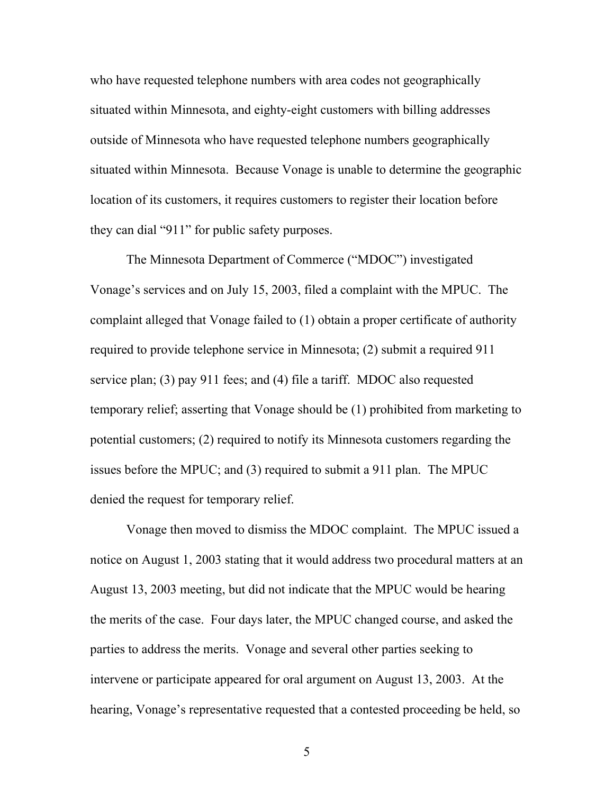who have requested telephone numbers with area codes not geographically situated within Minnesota, and eighty-eight customers with billing addresses outside of Minnesota who have requested telephone numbers geographically situated within Minnesota. Because Vonage is unable to determine the geographic location of its customers, it requires customers to register their location before they can dial "911" for public safety purposes.

 The Minnesota Department of Commerce ("MDOC") investigated Vonage's services and on July 15, 2003, filed a complaint with the MPUC. The complaint alleged that Vonage failed to (1) obtain a proper certificate of authority required to provide telephone service in Minnesota; (2) submit a required 911 service plan; (3) pay 911 fees; and (4) file a tariff. MDOC also requested temporary relief; asserting that Vonage should be (1) prohibited from marketing to potential customers; (2) required to notify its Minnesota customers regarding the issues before the MPUC; and (3) required to submit a 911 plan. The MPUC denied the request for temporary relief.

Vonage then moved to dismiss the MDOC complaint. The MPUC issued a notice on August 1, 2003 stating that it would address two procedural matters at an August 13, 2003 meeting, but did not indicate that the MPUC would be hearing the merits of the case. Four days later, the MPUC changed course, and asked the parties to address the merits. Vonage and several other parties seeking to intervene or participate appeared for oral argument on August 13, 2003. At the hearing, Vonage's representative requested that a contested proceeding be held, so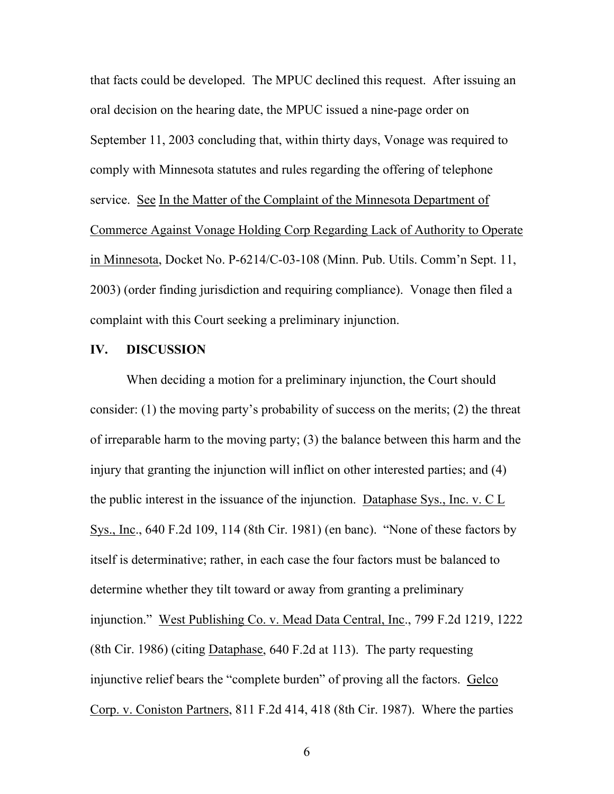that facts could be developed. The MPUC declined this request. After issuing an oral decision on the hearing date, the MPUC issued a nine-page order on September 11, 2003 concluding that, within thirty days, Vonage was required to comply with Minnesota statutes and rules regarding the offering of telephone service. See In the Matter of the Complaint of the Minnesota Department of Commerce Against Vonage Holding Corp Regarding Lack of Authority to Operate in Minnesota, Docket No. P-6214/C-03-108 (Minn. Pub. Utils. Comm'n Sept. 11, 2003) (order finding jurisdiction and requiring compliance). Vonage then filed a complaint with this Court seeking a preliminary injunction.

## **IV. DISCUSSION**

When deciding a motion for a preliminary injunction, the Court should consider: (1) the moving party's probability of success on the merits; (2) the threat of irreparable harm to the moving party; (3) the balance between this harm and the injury that granting the injunction will inflict on other interested parties; and (4) the public interest in the issuance of the injunction. Dataphase Sys., Inc. v. C L Sys., Inc., 640 F.2d 109, 114 (8th Cir. 1981) (en banc). "None of these factors by itself is determinative; rather, in each case the four factors must be balanced to determine whether they tilt toward or away from granting a preliminary injunction." West Publishing Co. v. Mead Data Central, Inc., 799 F.2d 1219, 1222 (8th Cir. 1986) (citing Dataphase, 640 F.2d at 113). The party requesting injunctive relief bears the "complete burden" of proving all the factors. Gelco Corp. v. Coniston Partners, 811 F.2d 414, 418 (8th Cir. 1987). Where the parties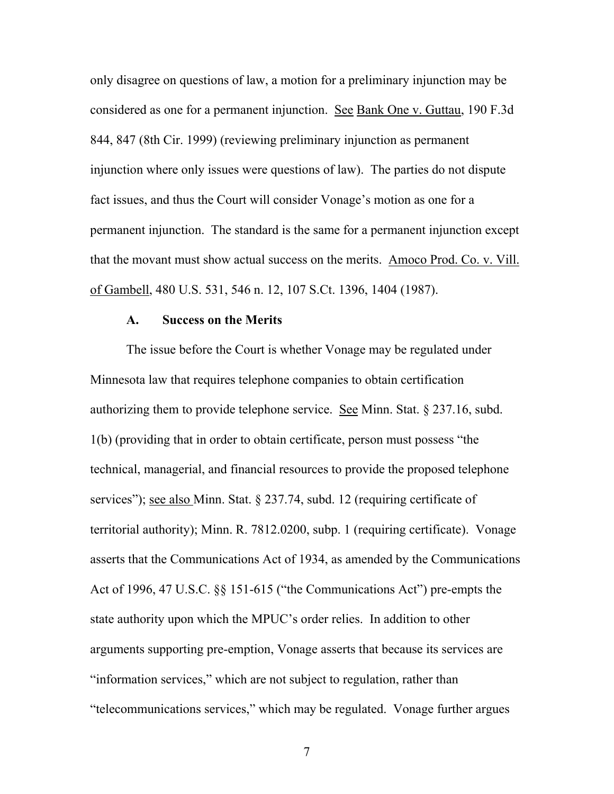only disagree on questions of law, a motion for a preliminary injunction may be considered as one for a permanent injunction. See Bank One v. Guttau, 190 F.3d 844, 847 (8th Cir. 1999) (reviewing preliminary injunction as permanent injunction where only issues were questions of law). The parties do not dispute fact issues, and thus the Court will consider Vonage's motion as one for a permanent injunction. The standard is the same for a permanent injunction except that the movant must show actual success on the merits. Amoco Prod. Co. v. Vill. of Gambell, 480 U.S. 531, 546 n. 12, 107 S.Ct. 1396, 1404 (1987).

#### **A. Success on the Merits**

 The issue before the Court is whether Vonage may be regulated under Minnesota law that requires telephone companies to obtain certification authorizing them to provide telephone service. See Minn. Stat. § 237.16, subd. 1(b) (providing that in order to obtain certificate, person must possess "the technical, managerial, and financial resources to provide the proposed telephone services"); see also Minn. Stat. § 237.74, subd. 12 (requiring certificate of territorial authority); Minn. R. 7812.0200, subp. 1 (requiring certificate). Vonage asserts that the Communications Act of 1934, as amended by the Communications Act of 1996, 47 U.S.C. §§ 151-615 ("the Communications Act") pre-empts the state authority upon which the MPUC's order relies. In addition to other arguments supporting pre-emption, Vonage asserts that because its services are "information services," which are not subject to regulation, rather than "telecommunications services," which may be regulated. Vonage further argues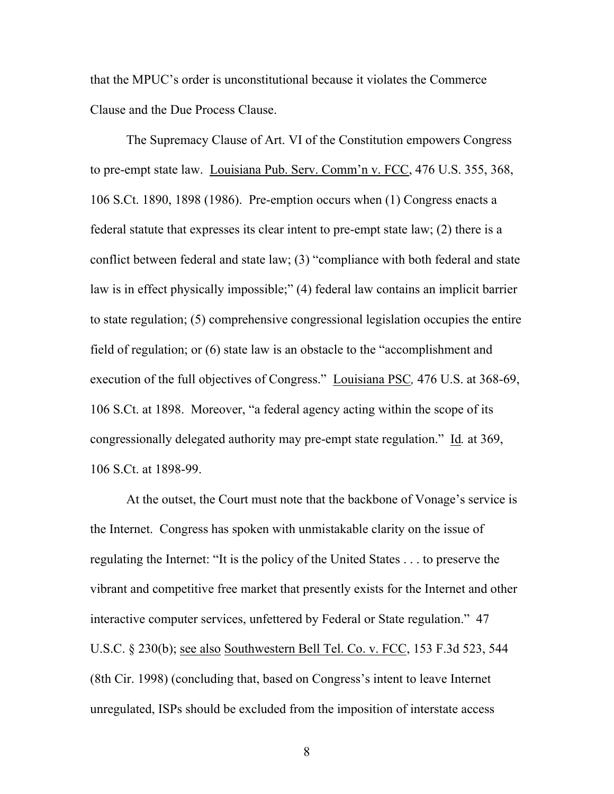that the MPUC's order is unconstitutional because it violates the Commerce Clause and the Due Process Clause.

 The Supremacy Clause of Art. VI of the Constitution empowers Congress to pre-empt state law. Louisiana Pub. Serv. Comm'n v. FCC, 476 U.S. 355, 368, 106 S.Ct. 1890, 1898 (1986). Pre-emption occurs when (1) Congress enacts a federal statute that expresses its clear intent to pre-empt state law; (2) there is a conflict between federal and state law; (3) "compliance with both federal and state law is in effect physically impossible;" (4) federal law contains an implicit barrier to state regulation; (5) comprehensive congressional legislation occupies the entire field of regulation; or (6) state law is an obstacle to the "accomplishment and execution of the full objectives of Congress." Louisiana PSC*,* 476 U.S. at 368-69, 106 S.Ct. at 1898. Moreover, "a federal agency acting within the scope of its congressionally delegated authority may pre-empt state regulation." Id*.* at 369, 106 S.Ct. at 1898-99.

 At the outset, the Court must note that the backbone of Vonage's service is the Internet. Congress has spoken with unmistakable clarity on the issue of regulating the Internet: "It is the policy of the United States . . . to preserve the vibrant and competitive free market that presently exists for the Internet and other interactive computer services, unfettered by Federal or State regulation." 47 U.S.C. § 230(b); <u>see also Southwestern Bell Tel. Co. v. FCC</u>, 153 F.3d 523, 544 (8th Cir. 1998) (concluding that, based on Congress's intent to leave Internet unregulated, ISPs should be excluded from the imposition of interstate access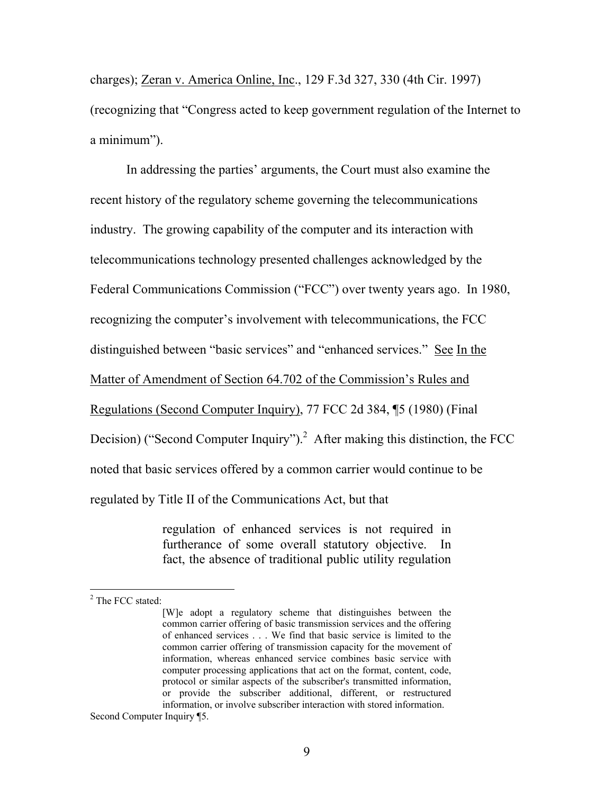charges); Zeran v. America Online, Inc., 129 F.3d 327, 330 (4th Cir. 1997) (recognizing that "Congress acted to keep government regulation of the Internet to a minimum").

 In addressing the parties' arguments, the Court must also examine the recent history of the regulatory scheme governing the telecommunications industry. The growing capability of the computer and its interaction with telecommunications technology presented challenges acknowledged by the Federal Communications Commission ("FCC") over twenty years ago. In 1980, recognizing the computer's involvement with telecommunications, the FCC distinguished between "basic services" and "enhanced services." See In the Matter of Amendment of Section 64.702 of the Commission's Rules and Regulations (Second Computer Inquiry), 77 FCC 2d 384, ¶5 (1980) (Final Decision) ("Second Computer Inquiry").<sup>2</sup> After making this distinction, the FCC noted that basic services offered by a common carrier would continue to be regulated by Title II of the Communications Act, but that

> regulation of enhanced services is not required in furtherance of some overall statutory objective. In fact, the absence of traditional public utility regulation

 $\overline{a}$ 

<sup>&</sup>lt;sup>2</sup> The FCC stated:

<sup>[</sup>W]e adopt a regulatory scheme that distinguishes between the common carrier offering of basic transmission services and the offering of enhanced services . . . We find that basic service is limited to the common carrier offering of transmission capacity for the movement of information, whereas enhanced service combines basic service with computer processing applications that act on the format, content, code, protocol or similar aspects of the subscriber's transmitted information, or provide the subscriber additional, different, or restructured information, or involve subscriber interaction with stored information.

Second Computer Inquiry ¶5.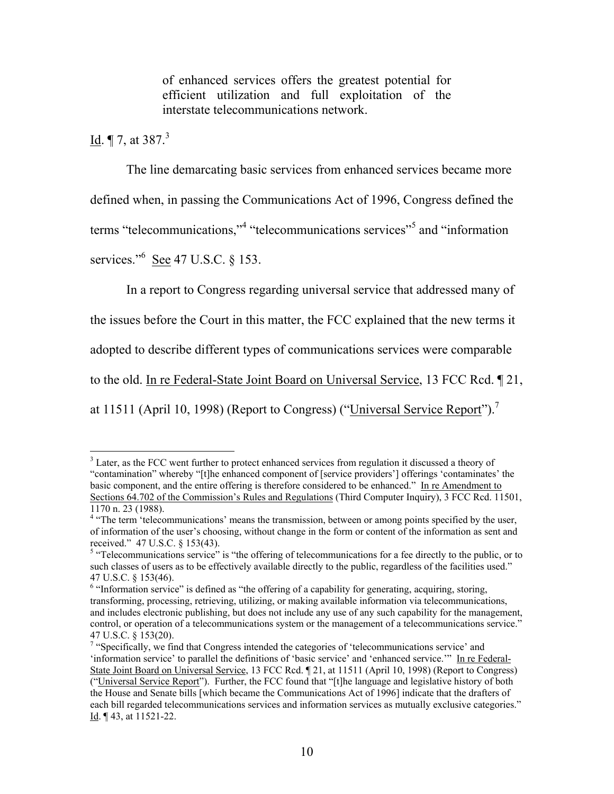of enhanced services offers the greatest potential for efficient utilization and full exploitation of the interstate telecommunications network.

# <u>Id</u>.  $\P$  7, at 387.<sup>3</sup>

 $\overline{a}$ 

The line demarcating basic services from enhanced services became more defined when, in passing the Communications Act of 1996, Congress defined the terms "telecommunications,"<sup>4</sup> "telecommunications services"<sup>5</sup> and "information" services."<sup>6</sup> <u>See</u> 47 U.S.C. § 153.

In a report to Congress regarding universal service that addressed many of

the issues before the Court in this matter, the FCC explained that the new terms it

adopted to describe different types of communications services were comparable

to the old. In re Federal-State Joint Board on Universal Service, 13 FCC Rcd. ¶ 21,

at 11511 (April 10, 1998) (Report to Congress) ("Universal Service Report").<sup>7</sup>

<sup>&</sup>lt;sup>3</sup> Later, as the FCC went further to protect enhanced services from regulation it discussed a theory of "contamination" whereby "[t]he enhanced component of [service providers'] offerings 'contaminates' the basic component, and the entire offering is therefore considered to be enhanced." In re Amendment to Sections 64.702 of the Commission's Rules and Regulations (Third Computer Inquiry), 3 FCC Rcd. 11501, 1170 n. 23 (1988).

<sup>&</sup>lt;sup>4</sup> "The term 'telecommunications' means the transmission, between or among points specified by the user, of information of the user's choosing, without change in the form or content of the information as sent and received." 47 U.S.C. § 153(43).

 $5$  "Telecommunications service" is "the offering of telecommunications for a fee directly to the public, or to such classes of users as to be effectively available directly to the public, regardless of the facilities used." 47 U.S.C. § 153(46).

<sup>&</sup>lt;sup>6</sup> "Information service" is defined as "the offering of a capability for generating, acquiring, storing, transforming, processing, retrieving, utilizing, or making available information via telecommunications, and includes electronic publishing, but does not include any use of any such capability for the management, control, or operation of a telecommunications system or the management of a telecommunications service." 47 U.S.C. § 153(20).

<sup>&</sup>lt;sup>7</sup> "Specifically, we find that Congress intended the categories of 'telecommunications service' and 'information service' to parallel the definitions of 'basic service' and 'enhanced service.'" In re Federal-State Joint Board on Universal Service, 13 FCC Rcd. ¶ 21, at 11511 (April 10, 1998) (Report to Congress) ("Universal Service Report"). Further, the FCC found that "[t]he language and legislative history of both the House and Senate bills [which became the Communications Act of 1996] indicate that the drafters of each bill regarded telecommunications services and information services as mutually exclusive categories." Id. ¶ 43, at 11521-22.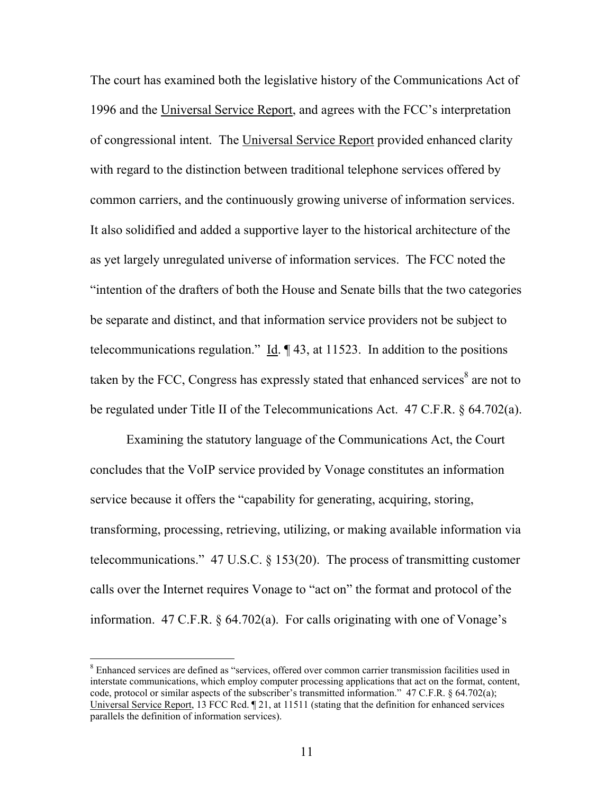The court has examined both the legislative history of the Communications Act of 1996 and the Universal Service Report, and agrees with the FCC's interpretation of congressional intent. The Universal Service Report provided enhanced clarity with regard to the distinction between traditional telephone services offered by common carriers, and the continuously growing universe of information services. It also solidified and added a supportive layer to the historical architecture of the as yet largely unregulated universe of information services. The FCC noted the "intention of the drafters of both the House and Senate bills that the two categories be separate and distinct, and that information service providers not be subject to telecommunications regulation." Id.  $\parallel$  43, at 11523. In addition to the positions taken by the FCC, Congress has expressly stated that enhanced services $8$  are not to be regulated under Title II of the Telecommunications Act. 47 C.F.R. § 64.702(a).

Examining the statutory language of the Communications Act, the Court concludes that the VoIP service provided by Vonage constitutes an information service because it offers the "capability for generating, acquiring, storing, transforming, processing, retrieving, utilizing, or making available information via telecommunications." 47 U.S.C. § 153(20). The process of transmitting customer calls over the Internet requires Vonage to "act on" the format and protocol of the information. 47 C.F.R. § 64.702(a). For calls originating with one of Vonage's

 $\overline{a}$ 

<sup>&</sup>lt;sup>8</sup> Enhanced services are defined as "services, offered over common carrier transmission facilities used in interstate communications, which employ computer processing applications that act on the format, content, code, protocol or similar aspects of the subscriber's transmitted information." 47 C.F.R. § 64.702(a); Universal Service Report, 13 FCC Rcd. ¶ 21, at 11511 (stating that the definition for enhanced services parallels the definition of information services).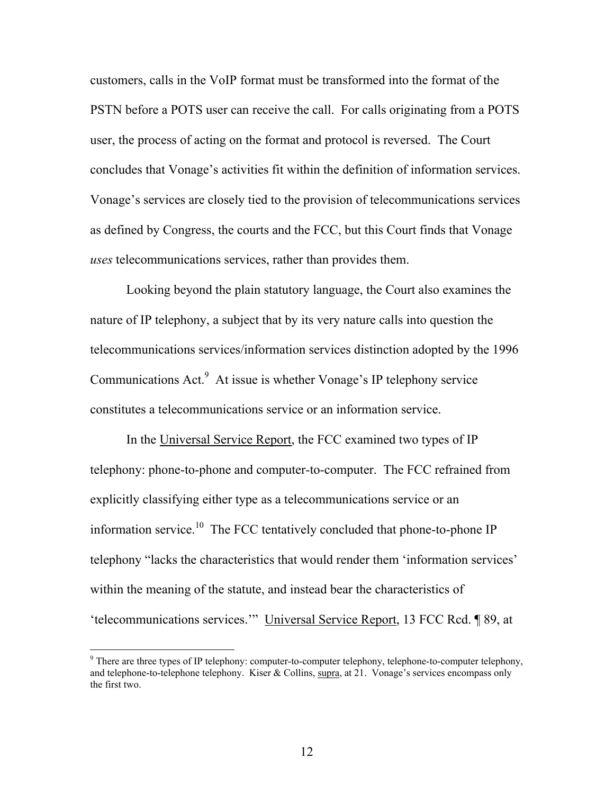customers, calls in the VoIP format must be transformed into the format of the PSTN before a POTS user can receive the call. For calls originating from a POTS user, the process of acting on the format and protocol is reversed. The Court concludes that Vonage's activities fit within the definition of information services. Vonage's services are closely tied to the provision of telecommunications services as defined by Congress, the courts and the FCC, but this Court finds that Vonage *uses* telecommunications services, rather than provides them.

Looking beyond the plain statutory language, the Court also examines the nature of IP telephony, a subject that by its very nature calls into question the telecommunications services/information services distinction adopted by the 1996 Communications Act.<sup>9</sup> At issue is whether Vonage's IP telephony service constitutes a telecommunications service or an information service.

In the Universal Service Report, the FCC examined two types of IP telephony: phone-to-phone and computer-to-computer. The FCC refrained from explicitly classifying either type as a telecommunications service or an information service.<sup>10</sup> The FCC tentatively concluded that phone-to-phone IP telephony "lacks the characteristics that would render them 'information services' within the meaning of the statute, and instead bear the characteristics of 'telecommunications services.'" Universal Service Report, 13 FCC Rcd. ¶ 89, at

 $\overline{a}$ 

 $9^9$  There are three types of IP telephony: computer-to-computer telephony, telephone-to-computer telephony, and telephone-to-telephone telephony. Kiser & Collins, supra, at 21. Vonage's services encompass only the first two.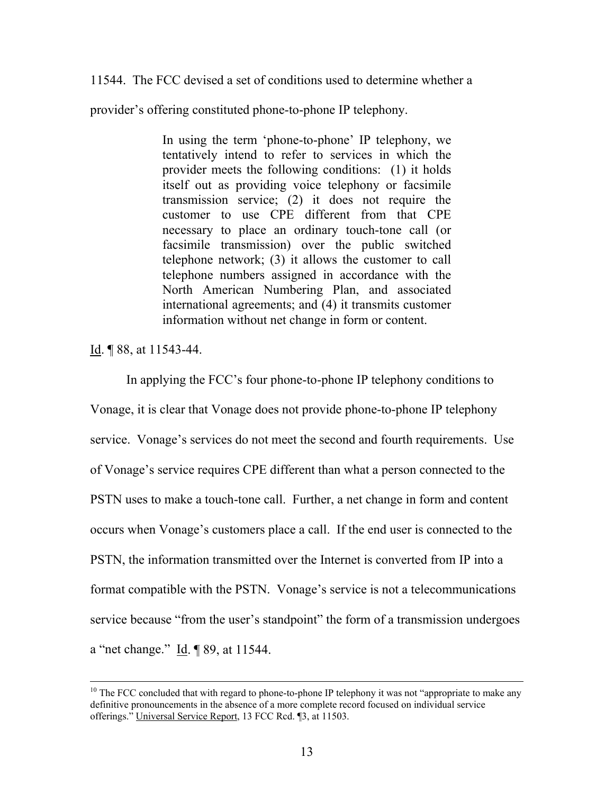11544. The FCC devised a set of conditions used to determine whether a

provider's offering constituted phone-to-phone IP telephony.

In using the term 'phone-to-phone' IP telephony, we tentatively intend to refer to services in which the provider meets the following conditions: (1) it holds itself out as providing voice telephony or facsimile transmission service; (2) it does not require the customer to use CPE different from that CPE necessary to place an ordinary touch-tone call (or facsimile transmission) over the public switched telephone network; (3) it allows the customer to call telephone numbers assigned in accordance with the North American Numbering Plan, and associated international agreements; and (4) it transmits customer information without net change in form or content.

Id. ¶ 88, at 11543-44.

In applying the FCC's four phone-to-phone IP telephony conditions to Vonage, it is clear that Vonage does not provide phone-to-phone IP telephony service. Vonage's services do not meet the second and fourth requirements. Use of Vonage's service requires CPE different than what a person connected to the PSTN uses to make a touch-tone call. Further, a net change in form and content occurs when Vonage's customers place a call. If the end user is connected to the PSTN, the information transmitted over the Internet is converted from IP into a format compatible with the PSTN. Vonage's service is not a telecommunications service because "from the user's standpoint" the form of a transmission undergoes a "net change." Id. ¶ 89, at 11544.

 $10$  The FCC concluded that with regard to phone-to-phone IP telephony it was not "appropriate to make any definitive pronouncements in the absence of a more complete record focused on individual service offerings." Universal Service Report, 13 FCC Rcd. ¶3, at 11503.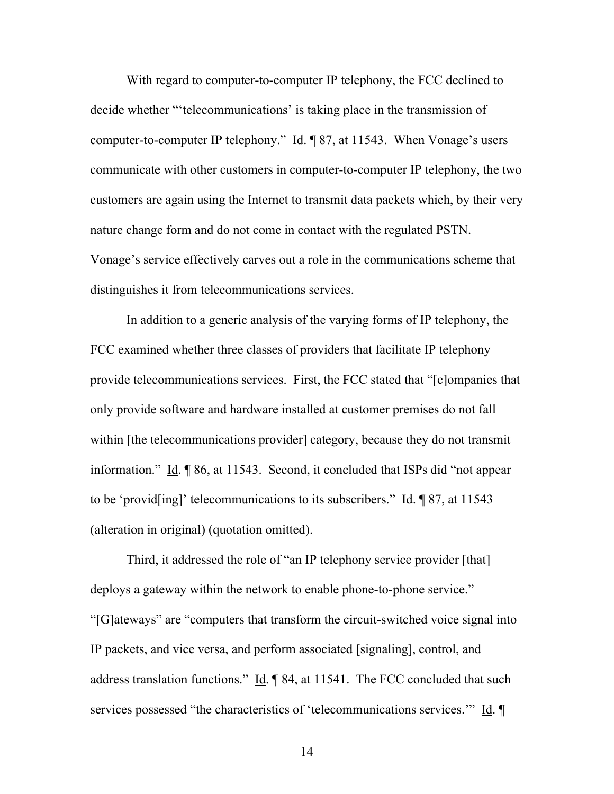With regard to computer-to-computer IP telephony, the FCC declined to decide whether "'telecommunications' is taking place in the transmission of computer-to-computer IP telephony." Id. ¶ 87, at 11543. When Vonage's users communicate with other customers in computer-to-computer IP telephony, the two customers are again using the Internet to transmit data packets which, by their very nature change form and do not come in contact with the regulated PSTN. Vonage's service effectively carves out a role in the communications scheme that distinguishes it from telecommunications services.

 In addition to a generic analysis of the varying forms of IP telephony, the FCC examined whether three classes of providers that facilitate IP telephony provide telecommunications services. First, the FCC stated that "[c]ompanies that only provide software and hardware installed at customer premises do not fall within [the telecommunications provider] category, because they do not transmit information." Id. ¶ 86, at 11543. Second, it concluded that ISPs did "not appear to be 'provid[ing]' telecommunications to its subscribers." Id. ¶ 87, at 11543 (alteration in original) (quotation omitted).

Third, it addressed the role of "an IP telephony service provider [that] deploys a gateway within the network to enable phone-to-phone service." "[G]ateways" are "computers that transform the circuit-switched voice signal into IP packets, and vice versa, and perform associated [signaling], control, and address translation functions." Id. ¶ 84, at 11541. The FCC concluded that such services possessed "the characteristics of 'telecommunications services." Id. ¶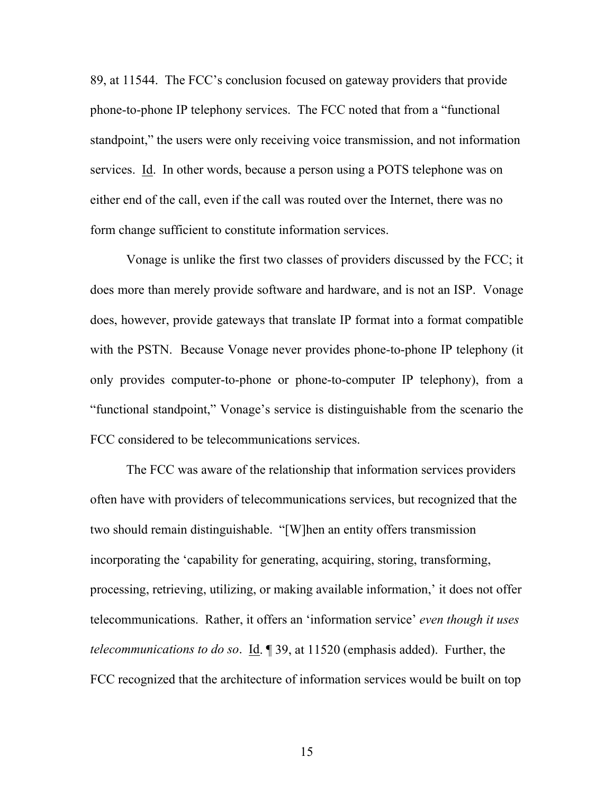89, at 11544. The FCC's conclusion focused on gateway providers that provide phone-to-phone IP telephony services. The FCC noted that from a "functional standpoint," the users were only receiving voice transmission, and not information services. Id. In other words, because a person using a POTS telephone was on either end of the call, even if the call was routed over the Internet, there was no form change sufficient to constitute information services.

Vonage is unlike the first two classes of providers discussed by the FCC; it does more than merely provide software and hardware, and is not an ISP. Vonage does, however, provide gateways that translate IP format into a format compatible with the PSTN. Because Vonage never provides phone-to-phone IP telephony (it only provides computer-to-phone or phone-to-computer IP telephony), from a "functional standpoint," Vonage's service is distinguishable from the scenario the FCC considered to be telecommunications services.

The FCC was aware of the relationship that information services providers often have with providers of telecommunications services, but recognized that the two should remain distinguishable. "[W]hen an entity offers transmission incorporating the 'capability for generating, acquiring, storing, transforming, processing, retrieving, utilizing, or making available information,' it does not offer telecommunications. Rather, it offers an 'information service' *even though it uses telecommunications to do so*. Id. ¶ 39, at 11520 (emphasis added). Further, the FCC recognized that the architecture of information services would be built on top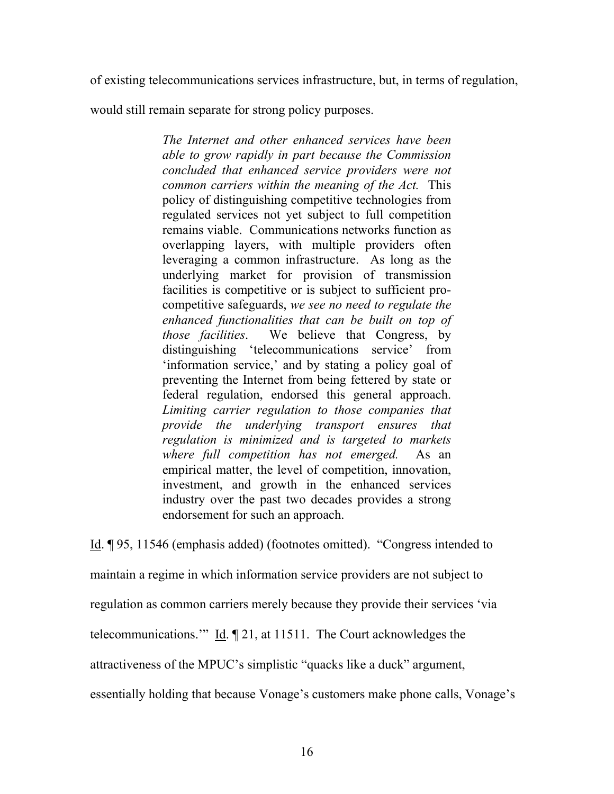of existing telecommunications services infrastructure, but, in terms of regulation,

would still remain separate for strong policy purposes.

*The Internet and other enhanced services have been able to grow rapidly in part because the Commission concluded that enhanced service providers were not common carriers within the meaning of the Act.* This policy of distinguishing competitive technologies from regulated services not yet subject to full competition remains viable. Communications networks function as overlapping layers, with multiple providers often leveraging a common infrastructure. As long as the underlying market for provision of transmission facilities is competitive or is subject to sufficient procompetitive safeguards, *we see no need to regulate the enhanced functionalities that can be built on top of those facilities*. We believe that Congress, by distinguishing 'telecommunications service' from 'information service,' and by stating a policy goal of preventing the Internet from being fettered by state or federal regulation, endorsed this general approach. *Limiting carrier regulation to those companies that provide the underlying transport ensures that regulation is minimized and is targeted to markets where full competition has not emerged.* As an empirical matter, the level of competition, innovation, investment, and growth in the enhanced services industry over the past two decades provides a strong endorsement for such an approach.

Id. ¶ 95, 11546 (emphasis added) (footnotes omitted). "Congress intended to maintain a regime in which information service providers are not subject to regulation as common carriers merely because they provide their services 'via telecommunications.'" Id. ¶ 21, at 11511. The Court acknowledges the attractiveness of the MPUC's simplistic "quacks like a duck" argument,

essentially holding that because Vonage's customers make phone calls, Vonage's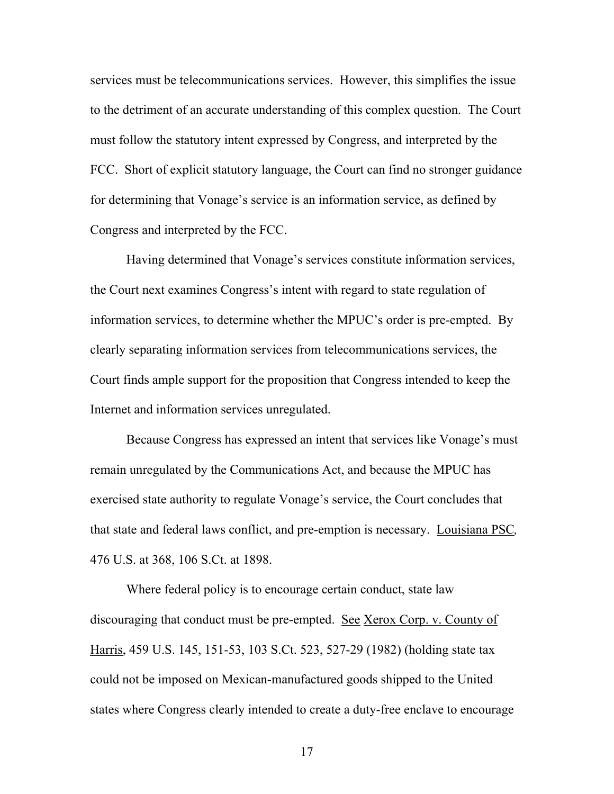services must be telecommunications services. However, this simplifies the issue to the detriment of an accurate understanding of this complex question. The Court must follow the statutory intent expressed by Congress, and interpreted by the FCC. Short of explicit statutory language, the Court can find no stronger guidance for determining that Vonage's service is an information service, as defined by Congress and interpreted by the FCC.

Having determined that Vonage's services constitute information services, the Court next examines Congress's intent with regard to state regulation of information services, to determine whether the MPUC's order is pre-empted. By clearly separating information services from telecommunications services, the Court finds ample support for the proposition that Congress intended to keep the Internet and information services unregulated.

Because Congress has expressed an intent that services like Vonage's must remain unregulated by the Communications Act, and because the MPUC has exercised state authority to regulate Vonage's service, the Court concludes that that state and federal laws conflict, and pre-emption is necessary. Louisiana PSC*,* 476 U.S. at 368, 106 S.Ct. at 1898.

Where federal policy is to encourage certain conduct, state law discouraging that conduct must be pre-empted. See Xerox Corp. v. County of Harris, 459 U.S. 145, 151-53, 103 S.Ct. 523, 527-29 (1982) (holding state tax could not be imposed on Mexican-manufactured goods shipped to the United states where Congress clearly intended to create a duty-free enclave to encourage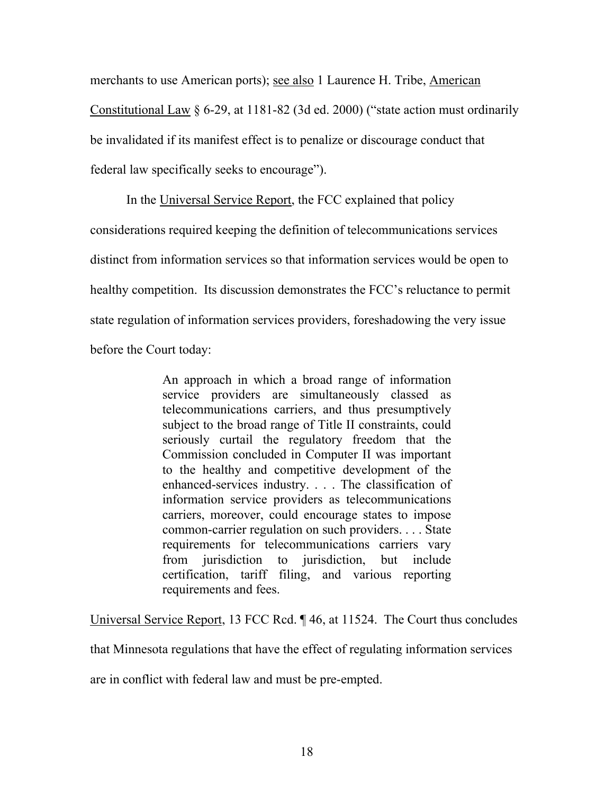merchants to use American ports); see also 1 Laurence H. Tribe, American

Constitutional Law § 6-29, at 1181-82 (3d ed. 2000) ("state action must ordinarily be invalidated if its manifest effect is to penalize or discourage conduct that federal law specifically seeks to encourage").

In the Universal Service Report, the FCC explained that policy

considerations required keeping the definition of telecommunications services

distinct from information services so that information services would be open to

healthy competition. Its discussion demonstrates the FCC's reluctance to permit

state regulation of information services providers, foreshadowing the very issue

before the Court today:

An approach in which a broad range of information service providers are simultaneously classed as telecommunications carriers, and thus presumptively subject to the broad range of Title II constraints, could seriously curtail the regulatory freedom that the Commission concluded in Computer II was important to the healthy and competitive development of the enhanced-services industry. . . . The classification of information service providers as telecommunications carriers, moreover, could encourage states to impose common-carrier regulation on such providers. . . . State requirements for telecommunications carriers vary from jurisdiction to jurisdiction, but include certification, tariff filing, and various reporting requirements and fees.

Universal Service Report, 13 FCC Rcd. ¶ 46, at 11524. The Court thus concludes

that Minnesota regulations that have the effect of regulating information services

are in conflict with federal law and must be pre-empted.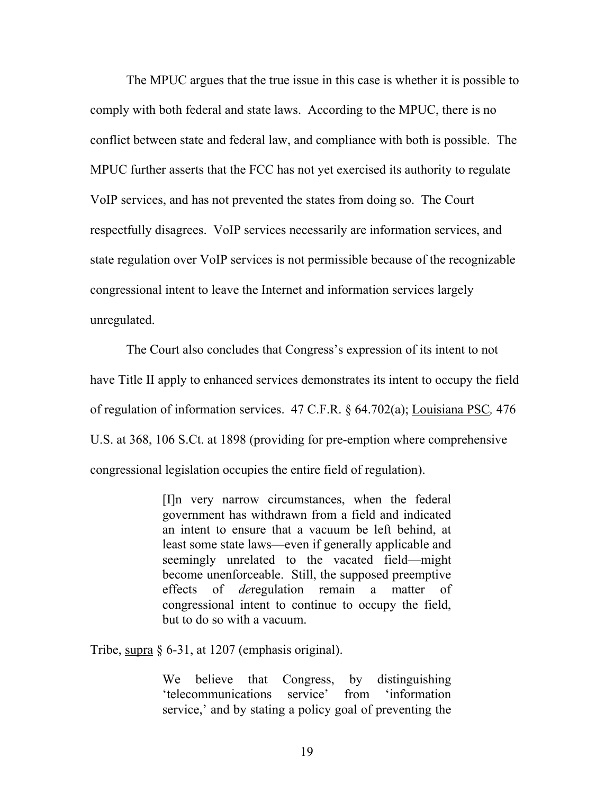The MPUC argues that the true issue in this case is whether it is possible to comply with both federal and state laws. According to the MPUC, there is no conflict between state and federal law, and compliance with both is possible. The MPUC further asserts that the FCC has not yet exercised its authority to regulate VoIP services, and has not prevented the states from doing so. The Court respectfully disagrees. VoIP services necessarily are information services, and state regulation over VoIP services is not permissible because of the recognizable congressional intent to leave the Internet and information services largely unregulated.

The Court also concludes that Congress's expression of its intent to not have Title II apply to enhanced services demonstrates its intent to occupy the field of regulation of information services. 47 C.F.R. § 64.702(a); Louisiana PSC*,* 476 U.S. at 368, 106 S.Ct. at 1898 (providing for pre-emption where comprehensive congressional legislation occupies the entire field of regulation).

> [I]n very narrow circumstances, when the federal government has withdrawn from a field and indicated an intent to ensure that a vacuum be left behind, at least some state laws—even if generally applicable and seemingly unrelated to the vacated field—might become unenforceable. Still, the supposed preemptive effects of *de*regulation remain a matter of congressional intent to continue to occupy the field, but to do so with a vacuum.

Tribe, supra § 6-31, at 1207 (emphasis original).

We believe that Congress, by distinguishing 'telecommunications service' from 'information service,' and by stating a policy goal of preventing the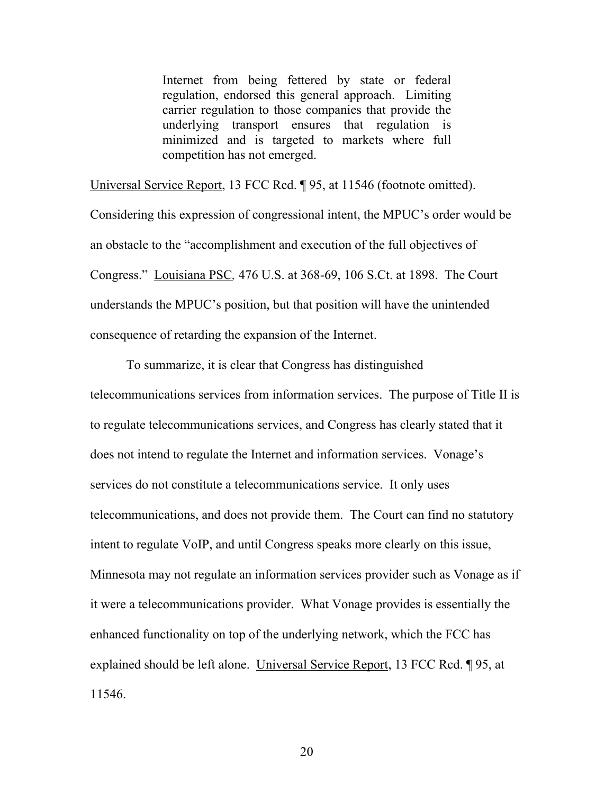Internet from being fettered by state or federal regulation, endorsed this general approach. Limiting carrier regulation to those companies that provide the underlying transport ensures that regulation is minimized and is targeted to markets where full competition has not emerged.

Universal Service Report, 13 FCC Rcd. ¶ 95, at 11546 (footnote omitted). Considering this expression of congressional intent, the MPUC's order would be an obstacle to the "accomplishment and execution of the full objectives of Congress." Louisiana PSC*,* 476 U.S. at 368-69, 106 S.Ct. at 1898. The Court understands the MPUC's position, but that position will have the unintended consequence of retarding the expansion of the Internet.

To summarize, it is clear that Congress has distinguished

telecommunications services from information services. The purpose of Title II is to regulate telecommunications services, and Congress has clearly stated that it does not intend to regulate the Internet and information services. Vonage's services do not constitute a telecommunications service. It only uses telecommunications, and does not provide them. The Court can find no statutory intent to regulate VoIP, and until Congress speaks more clearly on this issue, Minnesota may not regulate an information services provider such as Vonage as if it were a telecommunications provider. What Vonage provides is essentially the enhanced functionality on top of the underlying network, which the FCC has explained should be left alone. Universal Service Report, 13 FCC Rcd. ¶ 95, at 11546.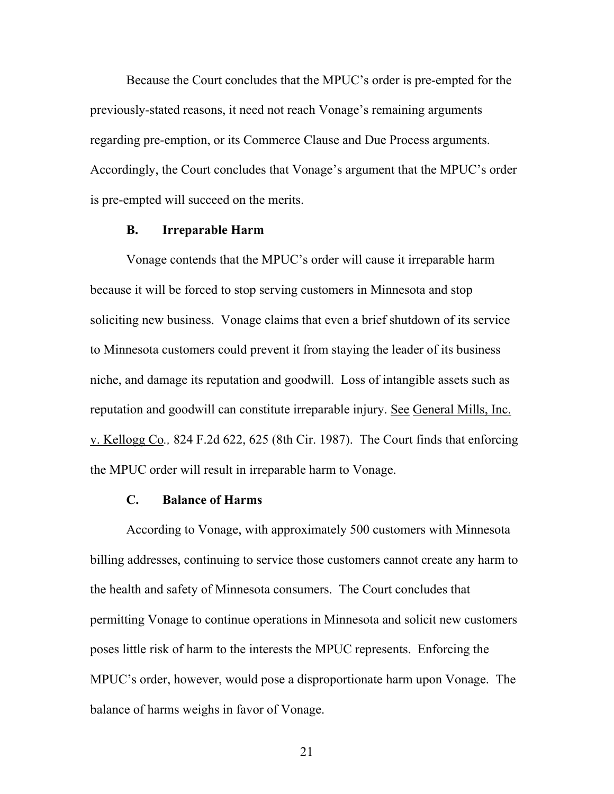Because the Court concludes that the MPUC's order is pre-empted for the previously-stated reasons, it need not reach Vonage's remaining arguments regarding pre-emption, or its Commerce Clause and Due Process arguments. Accordingly, the Court concludes that Vonage's argument that the MPUC's order is pre-empted will succeed on the merits.

#### **B. Irreparable Harm**

Vonage contends that the MPUC's order will cause it irreparable harm because it will be forced to stop serving customers in Minnesota and stop soliciting new business. Vonage claims that even a brief shutdown of its service to Minnesota customers could prevent it from staying the leader of its business niche, and damage its reputation and goodwill. Loss of intangible assets such as reputation and goodwill can constitute irreparable injury. See General Mills, Inc. v. Kellogg Co*.,* 824 F.2d 622, 625 (8th Cir. 1987). The Court finds that enforcing the MPUC order will result in irreparable harm to Vonage.

#### **C. Balance of Harms**

 According to Vonage, with approximately 500 customers with Minnesota billing addresses, continuing to service those customers cannot create any harm to the health and safety of Minnesota consumers. The Court concludes that permitting Vonage to continue operations in Minnesota and solicit new customers poses little risk of harm to the interests the MPUC represents. Enforcing the MPUC's order, however, would pose a disproportionate harm upon Vonage. The balance of harms weighs in favor of Vonage.